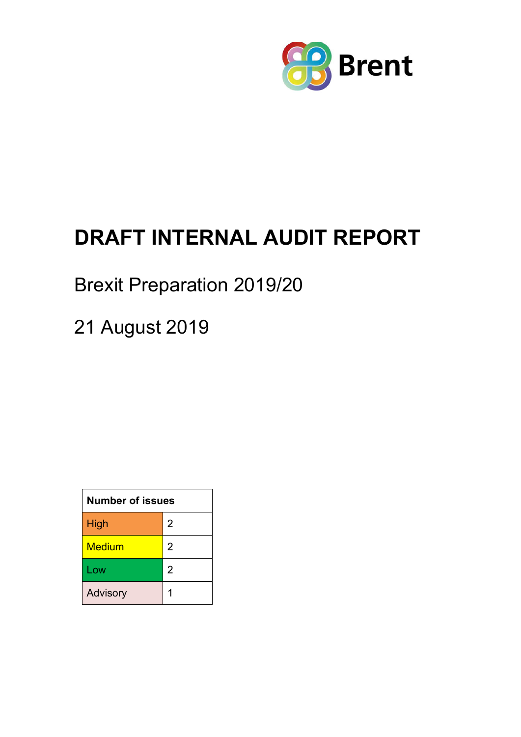

# **DRAFT INTERNAL AUDIT REPORT**

## Brexit Preparation 2019/20

21 August 2019

| <b>Number of issues</b> |                |  |
|-------------------------|----------------|--|
| High                    | 2              |  |
| <b>Medium</b>           | 2              |  |
| Low                     | $\overline{2}$ |  |
| Advisory                |                |  |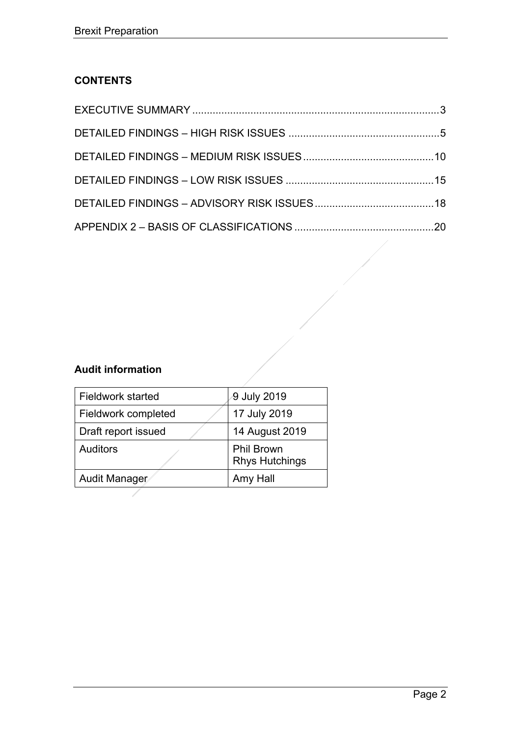## **CONTENTS**

## **Audit information**

| <b>Fieldwork started</b> | 9 July 2019                                |
|--------------------------|--------------------------------------------|
| Fieldwork completed      | 17 July 2019                               |
| Draft report issued      | 14 August 2019                             |
| <b>Auditors</b>          | <b>Phil Brown</b><br><b>Rhys Hutchings</b> |
| Audit Manager            | Amy Hall                                   |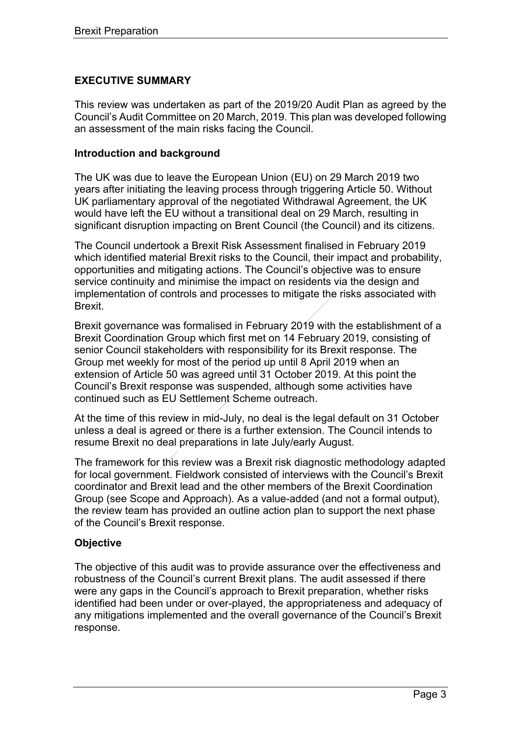## <span id="page-2-0"></span>**EXECUTIVE SUMMARY**

This review was undertaken as part of the 2019/20 Audit Plan as agreed by the Council's Audit Committee on 20 March, 2019. This plan was developed following an assessment of the main risks facing the Council.

#### **Introduction and background**

The UK was due to leave the European Union (EU) on 29 March 2019 two years after initiating the leaving process through triggering Article 50. Without UK parliamentary approval of the negotiated Withdrawal Agreement, the UK would have left the EU without a transitional deal on 29 March, resulting in significant disruption impacting on Brent Council (the Council) and its citizens.

The Council undertook a Brexit Risk Assessment finalised in February 2019 which identified material Brexit risks to the Council, their impact and probability, opportunities and mitigating actions. The Council's objective was to ensure service continuity and minimise the impact on residents via the design and implementation of controls and processes to mitigate the risks associated with Brexit.

Brexit governance was formalised in February 2019 with the establishment of a Brexit Coordination Group which first met on 14 February 2019, consisting of senior Council stakeholders with responsibility for its Brexit response. The Group met weekly for most of the period up until 8 April 2019 when an extension of Article 50 was agreed until 31 October 2019. At this point the Council's Brexit response was suspended, although some activities have continued such as EU Settlement Scheme outreach.

At the time of this review in mid-July, no deal is the legal default on 31 October unless a deal is agreed or there is a further extension. The Council intends to resume Brexit no deal preparations in late July/early August.

The framework for this review was a Brexit risk diagnostic methodology adapted for local government. Fieldwork consisted of interviews with the Council's Brexit coordinator and Brexit lead and the other members of the Brexit Coordination Group (see Scope and Approach). As a value-added (and not a formal output), the review team has provided an outline action plan to support the next phase of the Council's Brexit response.

#### **Objective**

The objective of this audit was to provide assurance over the effectiveness and robustness of the Council's current Brexit plans. The audit assessed if there were any gaps in the Council's approach to Brexit preparation, whether risks identified had been under or over-played, the appropriateness and adequacy of any mitigations implemented and the overall governance of the Council's Brexit response.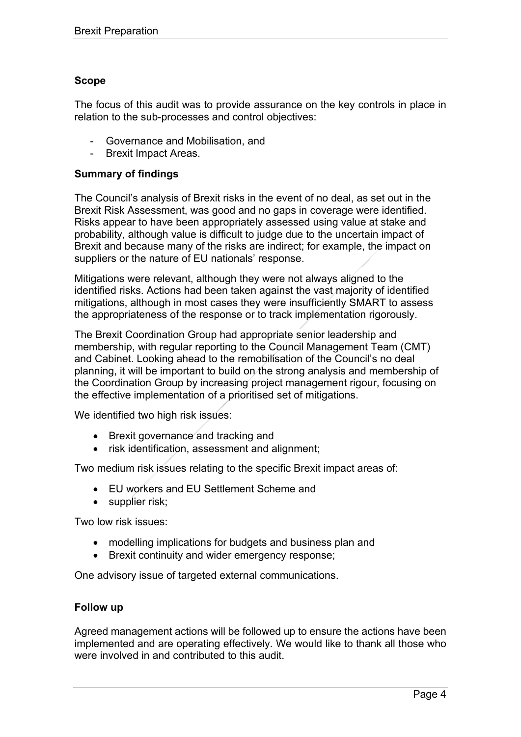#### **Scope**

The focus of this audit was to provide assurance on the key controls in place in relation to the sub-processes and control objectives:

- Governance and Mobilisation, and
- Brexit Impact Areas.

#### **Summary of findings**

The Council's analysis of Brexit risks in the event of no deal, as set out in the Brexit Risk Assessment, was good and no gaps in coverage were identified. Risks appear to have been appropriately assessed using value at stake and probability, although value is difficult to judge due to the uncertain impact of Brexit and because many of the risks are indirect; for example, the impact on suppliers or the nature of EU nationals' response.

Mitigations were relevant, although they were not always aligned to the identified risks. Actions had been taken against the vast majority of identified mitigations, although in most cases they were insufficiently SMART to assess the appropriateness of the response or to track implementation rigorously.

The Brexit Coordination Group had appropriate senior leadership and membership, with regular reporting to the Council Management Team (CMT) and Cabinet. Looking ahead to the remobilisation of the Council's no deal planning, it will be important to build on the strong analysis and membership of the Coordination Group by increasing project management rigour, focusing on the effective implementation of a prioritised set of mitigations.

We identified two high risk issues:

- Brexit governance and tracking and
- risk identification, assessment and alignment;

Two medium risk issues relating to the specific Brexit impact areas of:

- EU workers and EU Settlement Scheme and
- supplier risk;

Two low risk issues:

- modelling implications for budgets and business plan and
- Brexit continuity and wider emergency response;

One advisory issue of targeted external communications.

#### **Follow up**

Agreed management actions will be followed up to ensure the actions have been implemented and are operating effectively. We would like to thank all those who were involved in and contributed to this audit.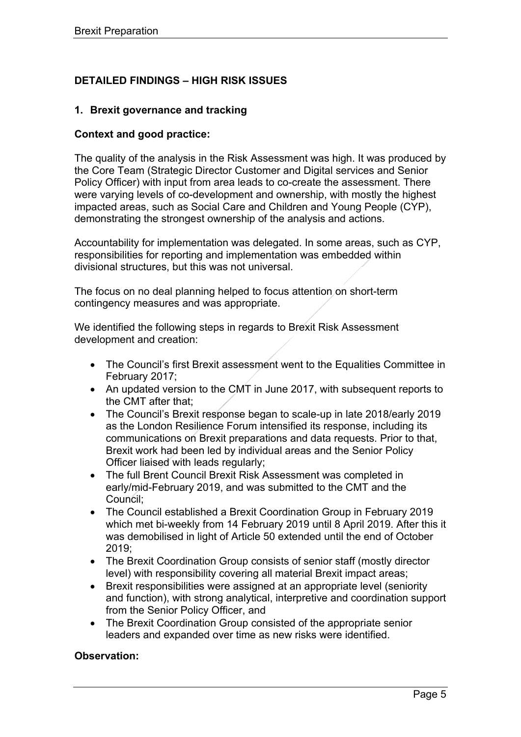## <span id="page-4-0"></span>**DETAILED FINDINGS – HIGH RISK ISSUES**

#### **1. Brexit governance and tracking**

#### **Context and good practice:**

The quality of the analysis in the Risk Assessment was high. It was produced by the Core Team (Strategic Director Customer and Digital services and Senior Policy Officer) with input from area leads to co-create the assessment. There were varying levels of co-development and ownership, with mostly the highest impacted areas, such as Social Care and Children and Young People (CYP), demonstrating the strongest ownership of the analysis and actions.

Accountability for implementation was delegated. In some areas, such as CYP, responsibilities for reporting and implementation was embedded within divisional structures, but this was not universal.

The focus on no deal planning helped to focus attention on short-term contingency measures and was appropriate.

We identified the following steps in regards to Brexit Risk Assessment development and creation:

- The Council's first Brexit assessment went to the Equalities Committee in February 2017;
- An updated version to the CMT in June 2017, with subsequent reports to the CMT after that;
- The Council's Brexit response began to scale-up in late 2018/early 2019 as the London Resilience Forum intensified its response, including its communications on Brexit preparations and data requests. Prior to that, Brexit work had been led by individual areas and the Senior Policy Officer liaised with leads regularly;
- The full Brent Council Brexit Risk Assessment was completed in early/mid-February 2019, and was submitted to the CMT and the Council;
- The Council established a Brexit Coordination Group in February 2019 which met bi-weekly from 14 February 2019 until 8 April 2019. After this it was demobilised in light of Article 50 extended until the end of October 2019;
- The Brexit Coordination Group consists of senior staff (mostly director level) with responsibility covering all material Brexit impact areas;
- Brexit responsibilities were assigned at an appropriate level (seniority and function), with strong analytical, interpretive and coordination support from the Senior Policy Officer, and
- The Brexit Coordination Group consisted of the appropriate senior leaders and expanded over time as new risks were identified.

#### **Observation:**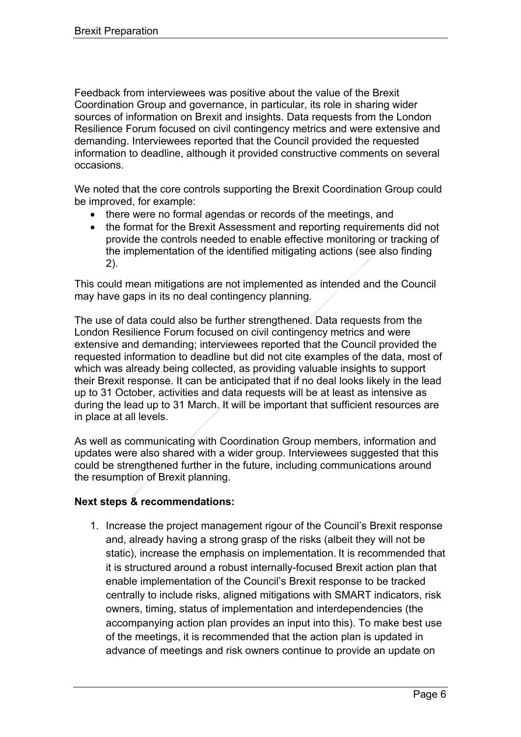Feedback from interviewees was positive about the value of the Brexit Coordination Group and governance, in particular, its role in sharing wider sources of information on Brexit and insights. Data requests from the London Resilience Forum focused on civil contingency metrics and were extensive and demanding. Interviewees reported that the Council provided the requested information to deadline, although it provided constructive comments on several occasions.

We noted that the core controls supporting the Brexit Coordination Group could be improved, for example:

- there were no formal agendas or records of the meetings, and
- the format for the Brexit Assessment and reporting requirements did not provide the controls needed to enable effective monitoring or tracking of the implementation of the identified mitigating actions (see also finding 2).

This could mean mitigations are not implemented as intended and the Council may have gaps in its no deal contingency planning.

The use of data could also be further strengthened. Data requests from the London Resilience Forum focused on civil contingency metrics and were extensive and demanding; interviewees reported that the Council provided the requested information to deadline but did not cite examples of the data, most of which was already being collected, as providing valuable insights to support their Brexit response. It can be anticipated that if no deal looks likely in the lead up to 31 October, activities and data requests will be at least as intensive as during the lead up to 31 March. It will be important that sufficient resources are in place at all levels.

As well as communicating with Coordination Group members, information and updates were also shared with a wider group. Interviewees suggested that this could be strengthened further in the future, including communications around the resumption of Brexit planning.

## **Next steps & recommendations:**

1. Increase the project management rigour of the Council's Brexit response and, already having a strong grasp of the risks (albeit they will not be static), increase the emphasis on implementation. It is recommended that it is structured around a robust internally-focused Brexit action plan that enable implementation of the Council's Brexit response to be tracked centrally to include risks, aligned mitigations with SMART indicators, risk owners, timing, status of implementation and interdependencies (the accompanying action plan provides an input into this). To make best use of the meetings, it is recommended that the action plan is updated in advance of meetings and risk owners continue to provide an update on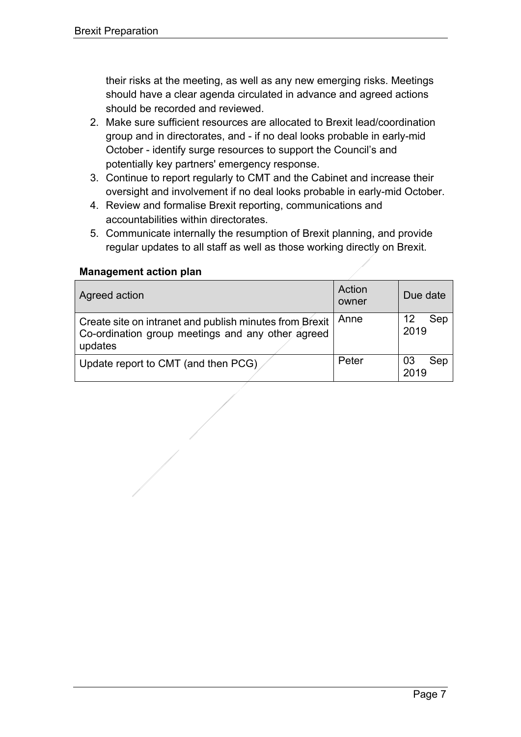their risks at the meeting, as well as any new emerging risks. Meetings should have a clear agenda circulated in advance and agreed actions should be recorded and reviewed.

- 2. Make sure sufficient resources are allocated to Brexit lead/coordination group and in directorates, and - if no deal looks probable in early-mid October - identify surge resources to support the Council's and potentially key partners' emergency response.
- 3. Continue to report regularly to CMT and the Cabinet and increase their oversight and involvement if no deal looks probable in early-mid October.
- 4. Review and formalise Brexit reporting, communications and accountabilities within directorates.
- 5. Communicate internally the resumption of Brexit planning, and provide regular updates to all staff as well as those working directly on Brexit.

| Agreed action                                                                                                           | Action<br>owner | Due date          |
|-------------------------------------------------------------------------------------------------------------------------|-----------------|-------------------|
| Create site on intranet and publish minutes from Brexit<br>Co-ordination group meetings and any other agreed<br>updates | Anne            | Sep<br>12<br>2019 |
| Update report to CMT (and then PCG)                                                                                     | Peter           | Sep<br>03<br>2019 |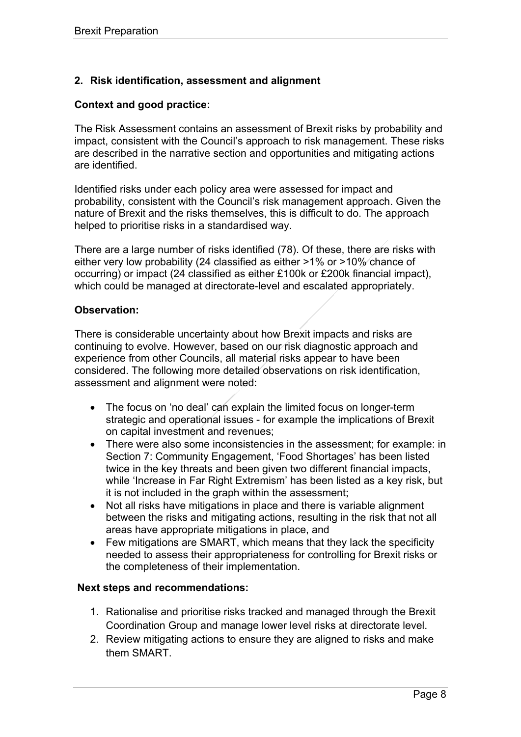## **2. Risk identification, assessment and alignment**

#### **Context and good practice:**

The Risk Assessment contains an assessment of Brexit risks by probability and impact, consistent with the Council's approach to risk management. These risks are described in the narrative section and opportunities and mitigating actions are identified.

Identified risks under each policy area were assessed for impact and probability, consistent with the Council's risk management approach. Given the nature of Brexit and the risks themselves, this is difficult to do. The approach helped to prioritise risks in a standardised way.

There are a large number of risks identified (78). Of these, there are risks with either very low probability (24 classified as either >1% or >10% chance of occurring) or impact (24 classified as either £100k or £200k financial impact), which could be managed at directorate-level and escalated appropriately.

#### **Observation:**

There is considerable uncertainty about how Brexit impacts and risks are continuing to evolve. However, based on our risk diagnostic approach and experience from other Councils, all material risks appear to have been considered. The following more detailed observations on risk identification, assessment and alignment were noted:

- The focus on 'no deal' can explain the limited focus on longer-term strategic and operational issues - for example the implications of Brexit on capital investment and revenues;
- There were also some inconsistencies in the assessment; for example: in Section 7: Community Engagement, 'Food Shortages' has been listed twice in the key threats and been given two different financial impacts, while 'Increase in Far Right Extremism' has been listed as a key risk, but it is not included in the graph within the assessment;
- Not all risks have mitigations in place and there is variable alignment between the risks and mitigating actions, resulting in the risk that not all areas have appropriate mitigations in place, and
- Few mitigations are SMART, which means that they lack the specificity needed to assess their appropriateness for controlling for Brexit risks or the completeness of their implementation.

#### **Next steps and recommendations:**

- 1. Rationalise and prioritise risks tracked and managed through the Brexit Coordination Group and manage lower level risks at directorate level.
- 2. Review mitigating actions to ensure they are aligned to risks and make them SMART.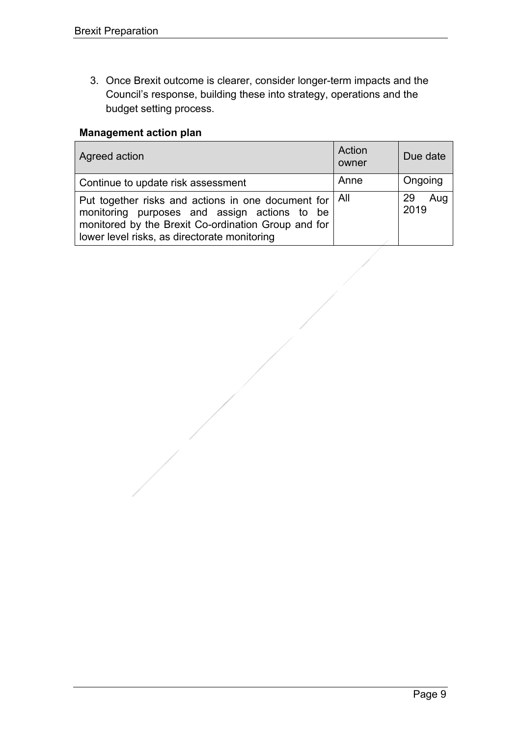3. Once Brexit outcome is clearer, consider longer-term impacts and the Council's response, building these into strategy, operations and the budget setting process.

| Agreed action                                                                                                                                                                                                         | Action<br>owner | Due date          |
|-----------------------------------------------------------------------------------------------------------------------------------------------------------------------------------------------------------------------|-----------------|-------------------|
| Continue to update risk assessment                                                                                                                                                                                    | Anne            | Ongoing           |
| Put together risks and actions in one document for $\vert$ All<br>monitoring purposes and assign actions to be<br>monitored by the Brexit Co-ordination Group and for<br>lower level risks, as directorate monitoring |                 | 29<br>Aug<br>2019 |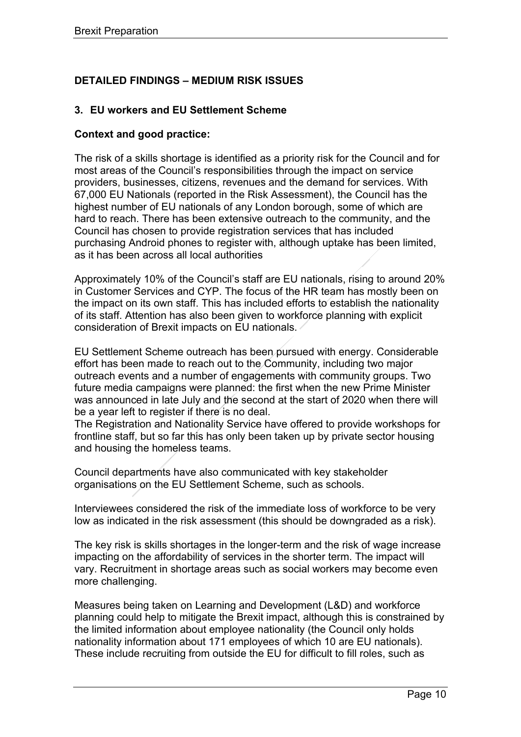## <span id="page-9-0"></span>**DETAILED FINDINGS – MEDIUM RISK ISSUES**

## **3. EU workers and EU Settlement Scheme**

#### **Context and good practice:**

The risk of a skills shortage is identified as a priority risk for the Council and for most areas of the Council's responsibilities through the impact on service providers, businesses, citizens, revenues and the demand for services. With 67,000 EU Nationals (reported in the Risk Assessment), the Council has the highest number of EU nationals of any London borough, some of which are hard to reach. There has been extensive outreach to the community, and the Council has chosen to provide registration services that has included purchasing Android phones to register with, although uptake has been limited, as it has been across all local authorities

Approximately 10% of the Council's staff are EU nationals, rising to around 20% in Customer Services and CYP. The focus of the HR team has mostly been on the impact on its own staff. This has included efforts to establish the nationality of its staff. Attention has also been given to workforce planning with explicit consideration of Brexit impacts on EU nationals.

EU Settlement Scheme outreach has been pursued with energy. Considerable effort has been made to reach out to the Community, including two major outreach events and a number of engagements with community groups. Two future media campaigns were planned: the first when the new Prime Minister was announced in late July and the second at the start of 2020 when there will be a year left to register if there is no deal.

The Registration and Nationality Service have offered to provide workshops for frontline staff, but so far this has only been taken up by private sector housing and housing the homeless teams.

Council departments have also communicated with key stakeholder organisations on the EU Settlement Scheme, such as schools.

Interviewees considered the risk of the immediate loss of workforce to be very low as indicated in the risk assessment (this should be downgraded as a risk).

The key risk is skills shortages in the longer-term and the risk of wage increase impacting on the affordability of services in the shorter term. The impact will vary. Recruitment in shortage areas such as social workers may become even more challenging.

Measures being taken on Learning and Development (L&D) and workforce planning could help to mitigate the Brexit impact, although this is constrained by the limited information about employee nationality (the Council only holds nationality information about 171 employees of which 10 are EU nationals). These include recruiting from outside the EU for difficult to fill roles, such as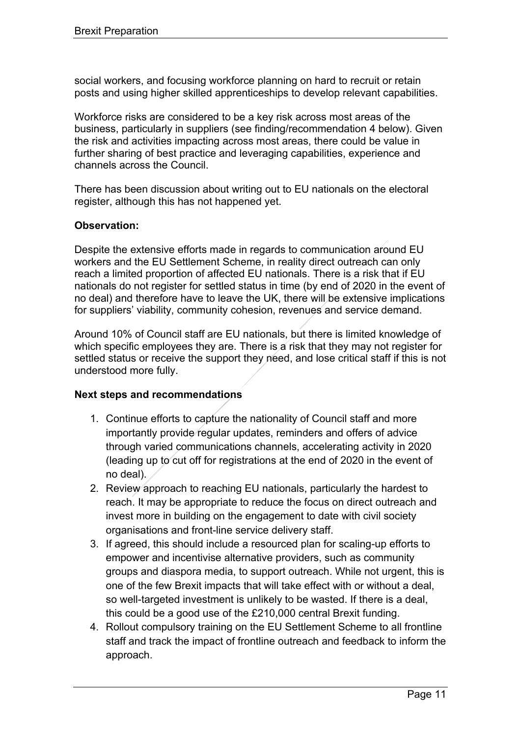social workers, and focusing workforce planning on hard to recruit or retain posts and using higher skilled apprenticeships to develop relevant capabilities.

Workforce risks are considered to be a key risk across most areas of the business, particularly in suppliers (see finding/recommendation 4 below). Given the risk and activities impacting across most areas, there could be value in further sharing of best practice and leveraging capabilities, experience and channels across the Council.

There has been discussion about writing out to EU nationals on the electoral register, although this has not happened yet.

#### **Observation:**

Despite the extensive efforts made in regards to communication around EU workers and the EU Settlement Scheme, in reality direct outreach can only reach a limited proportion of affected EU nationals. There is a risk that if EU nationals do not register for settled status in time (by end of 2020 in the event of no deal) and therefore have to leave the UK, there will be extensive implications for suppliers' viability, community cohesion, revenues and service demand.

Around 10% of Council staff are EU nationals, but there is limited knowledge of which specific employees they are. There is a risk that they may not register for settled status or receive the support they need, and lose critical staff if this is not understood more fully.

#### **Next steps and recommendations**

- 1. Continue efforts to capture the nationality of Council staff and more importantly provide regular updates, reminders and offers of advice through varied communications channels, accelerating activity in 2020 (leading up to cut off for registrations at the end of 2020 in the event of no deal).
- 2. Review approach to reaching EU nationals, particularly the hardest to reach. It may be appropriate to reduce the focus on direct outreach and invest more in building on the engagement to date with civil society organisations and front-line service delivery staff.
- 3. If agreed, this should include a resourced plan for scaling-up efforts to empower and incentivise alternative providers, such as community groups and diaspora media, to support outreach. While not urgent, this is one of the few Brexit impacts that will take effect with or without a deal, so well-targeted investment is unlikely to be wasted. If there is a deal, this could be a good use of the £210,000 central Brexit funding.
- 4. Rollout compulsory training on the EU Settlement Scheme to all frontline staff and track the impact of frontline outreach and feedback to inform the approach.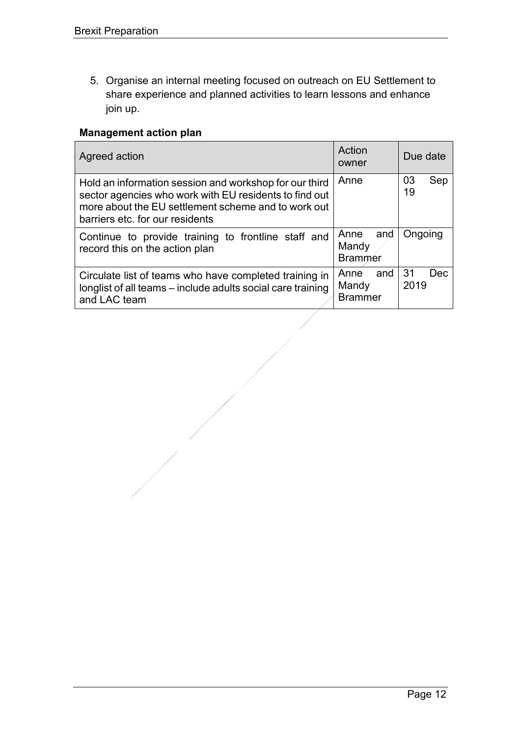5. Organise an internal meeting focused on outreach on EU Settlement to share experience and planned activities to learn lessons and enhance join up.

| Agreed action                                                                                                                                                                                              | Action<br>owner                        | Due date           |
|------------------------------------------------------------------------------------------------------------------------------------------------------------------------------------------------------------|----------------------------------------|--------------------|
| Hold an information session and workshop for our third<br>sector agencies who work with EU residents to find out<br>more about the EU settlement scheme and to work out<br>barriers etc. for our residents | Anne                                   | 03<br>Sep<br>19    |
| Continue to provide training to frontline staff and<br>record this on the action plan                                                                                                                      | Anne<br>and<br>Mandy<br><b>Brammer</b> | Ongoing            |
| Circulate list of teams who have completed training in<br>longlist of all teams – include adults social care training<br>and LAC team                                                                      | Anne and<br>Mandy<br><b>Brammer</b>    | 31<br>Dec.<br>2019 |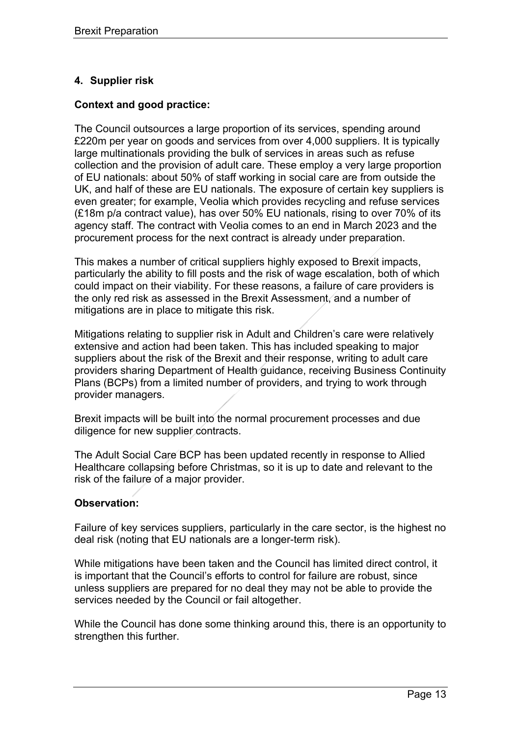## **4. Supplier risk**

#### **Context and good practice:**

The Council outsources a large proportion of its services, spending around £220m per year on goods and services from over 4,000 suppliers. It is typically large multinationals providing the bulk of services in areas such as refuse collection and the provision of adult care. These employ a very large proportion of EU nationals: about 50% of staff working in social care are from outside the UK, and half of these are EU nationals. The exposure of certain key suppliers is even greater; for example, Veolia which provides recycling and refuse services (£18m p/a contract value), has over 50% EU nationals, rising to over 70% of its agency staff. The contract with Veolia comes to an end in March 2023 and the procurement process for the next contract is already under preparation.

This makes a number of critical suppliers highly exposed to Brexit impacts, particularly the ability to fill posts and the risk of wage escalation, both of which could impact on their viability. For these reasons, a failure of care providers is the only red risk as assessed in the Brexit Assessment, and a number of mitigations are in place to mitigate this risk.

Mitigations relating to supplier risk in Adult and Children's care were relatively extensive and action had been taken. This has included speaking to major suppliers about the risk of the Brexit and their response, writing to adult care providers sharing Department of Health guidance, receiving Business Continuity Plans (BCPs) from a limited number of providers, and trying to work through provider managers.

Brexit impacts will be built into the normal procurement processes and due diligence for new supplier contracts.

The Adult Social Care BCP has been updated recently in response to Allied Healthcare collapsing before Christmas, so it is up to date and relevant to the risk of the failure of a major provider.

#### **Observation:**

Failure of key services suppliers, particularly in the care sector, is the highest no deal risk (noting that EU nationals are a longer-term risk).

While mitigations have been taken and the Council has limited direct control, it is important that the Council's efforts to control for failure are robust, since unless suppliers are prepared for no deal they may not be able to provide the services needed by the Council or fail altogether.

While the Council has done some thinking around this, there is an opportunity to strengthen this further.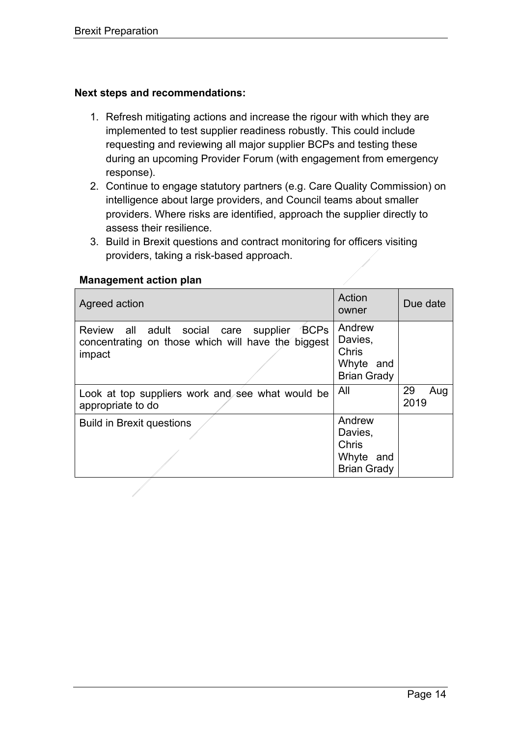#### **Next steps and recommendations:**

- 1. Refresh mitigating actions and increase the rigour with which they are implemented to test supplier readiness robustly. This could include requesting and reviewing all major supplier BCPs and testing these during an upcoming Provider Forum (with engagement from emergency response).
- 2. Continue to engage statutory partners (e.g. Care Quality Commission) on intelligence about large providers, and Council teams about smaller providers. Where risks are identified, approach the supplier directly to assess their resilience.
- 3. Build in Brexit questions and contract monitoring for officers visiting providers, taking a risk-based approach.

| Agreed action                                                                                              | Action<br>owner                                               | Due date          |
|------------------------------------------------------------------------------------------------------------|---------------------------------------------------------------|-------------------|
| Review all adult social care supplier BCPs<br>concentrating on those which will have the biggest<br>impact | Andrew<br>Davies,<br>Chris<br>Whyte and<br><b>Brian Grady</b> |                   |
| Look at top suppliers work and see what would be<br>appropriate to do                                      | All                                                           | 29<br>Aug<br>2019 |
| <b>Build in Brexit questions</b>                                                                           | Andrew<br>Davies,<br>Chris<br>Whyte and<br><b>Brian Grady</b> |                   |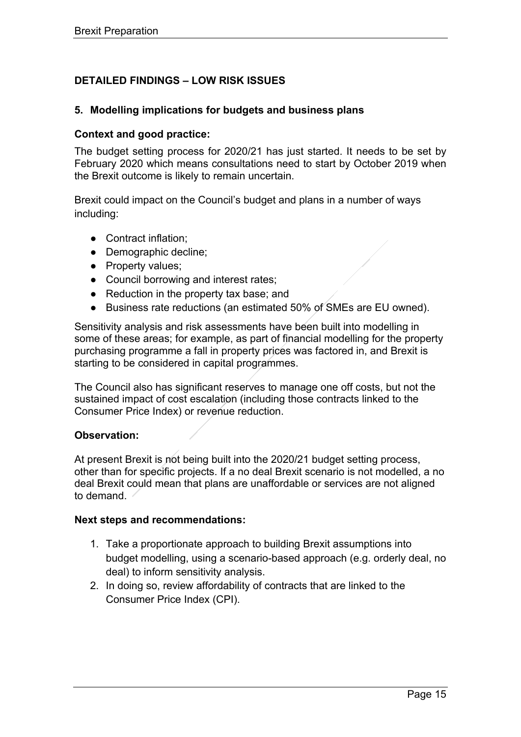## <span id="page-14-0"></span>**DETAILED FINDINGS – LOW RISK ISSUES**

#### **5. Modelling implications for budgets and business plans**

#### **Context and good practice:**

The budget setting process for 2020/21 has just started. It needs to be set by February 2020 which means consultations need to start by October 2019 when the Brexit outcome is likely to remain uncertain.

Brexit could impact on the Council's budget and plans in a number of ways including:

- Contract inflation:
- Demographic decline;
- Property values;
- Council borrowing and interest rates;
- Reduction in the property tax base; and
- Business rate reductions (an estimated 50% of SMEs are EU owned).

Sensitivity analysis and risk assessments have been built into modelling in some of these areas; for example, as part of financial modelling for the property purchasing programme a fall in property prices was factored in, and Brexit is starting to be considered in capital programmes.

The Council also has significant reserves to manage one off costs, but not the sustained impact of cost escalation (including those contracts linked to the Consumer Price Index) or revenue reduction.

#### **Observation:**

At present Brexit is not being built into the 2020/21 budget setting process, other than for specific projects. If a no deal Brexit scenario is not modelled, a no deal Brexit could mean that plans are unaffordable or services are not aligned to demand.

#### **Next steps and recommendations:**

- 1. Take a proportionate approach to building Brexit assumptions into budget modelling, using a scenario-based approach (e.g. orderly deal, no deal) to inform sensitivity analysis.
- 2. In doing so, review affordability of contracts that are linked to the Consumer Price Index (CPI).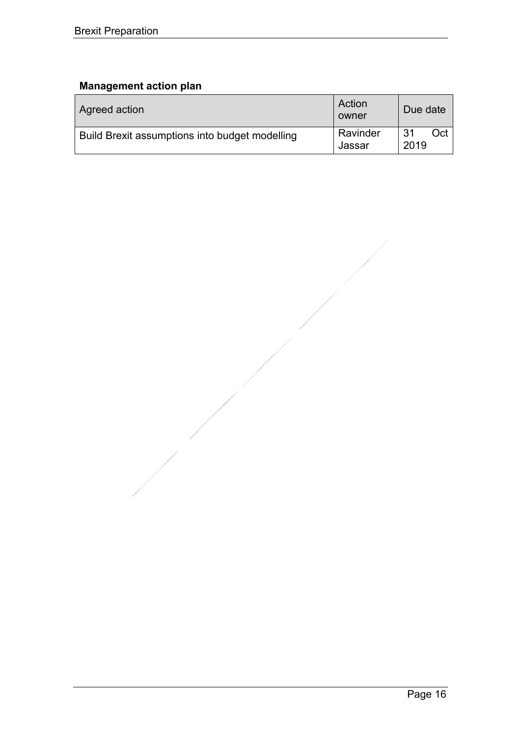| Agreed action                                  | Action<br>owner    | Due date          |
|------------------------------------------------|--------------------|-------------------|
| Build Brexit assumptions into budget modelling | Ravinder<br>Jassar | Oct<br>31<br>2019 |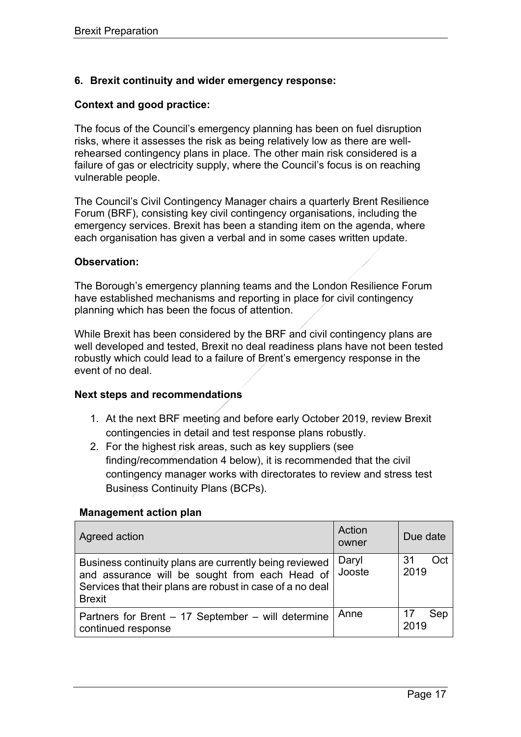#### **6. Brexit continuity and wider emergency response:**

#### **Context and good practice:**

The focus of the Council's emergency planning has been on fuel disruption risks, where it assesses the risk as being relatively low as there are wellrehearsed contingency plans in place. The other main risk considered is a failure of gas or electricity supply, where the Council's focus is on reaching vulnerable people.

The Council's Civil Contingency Manager chairs a quarterly Brent Resilience Forum (BRF), consisting key civil contingency organisations, including the emergency services. Brexit has been a standing item on the agenda, where each organisation has given a verbal and in some cases written update.

#### **Observation:**

The Borough's emergency planning teams and the London Resilience Forum have established mechanisms and reporting in place for civil contingency planning which has been the focus of attention.

While Brexit has been considered by the BRF and civil contingency plans are well developed and tested, Brexit no deal readiness plans have not been tested robustly which could lead to a failure of Brent's emergency response in the event of no deal.

#### **Next steps and recommendations**

- 1. At the next BRF meeting and before early October 2019, review Brexit contingencies in detail and test response plans robustly.
- 2. For the highest risk areas, such as key suppliers (see finding/recommendation 4 below), it is recommended that the civil contingency manager works with directorates to review and stress test Business Continuity Plans (BCPs).

| Agreed action                                                                                                                                                                          | Action<br>owner | Due date          |
|----------------------------------------------------------------------------------------------------------------------------------------------------------------------------------------|-----------------|-------------------|
| Business continuity plans are currently being reviewed<br>and assurance will be sought from each Head of<br>Services that their plans are robust in case of a no deal<br><b>Brexit</b> | Daryl<br>Jooste | 31<br>Oct<br>2019 |
| Partners for Brent – 17 September – will determine<br>continued response                                                                                                               | Anne            | 17<br>Sep<br>2019 |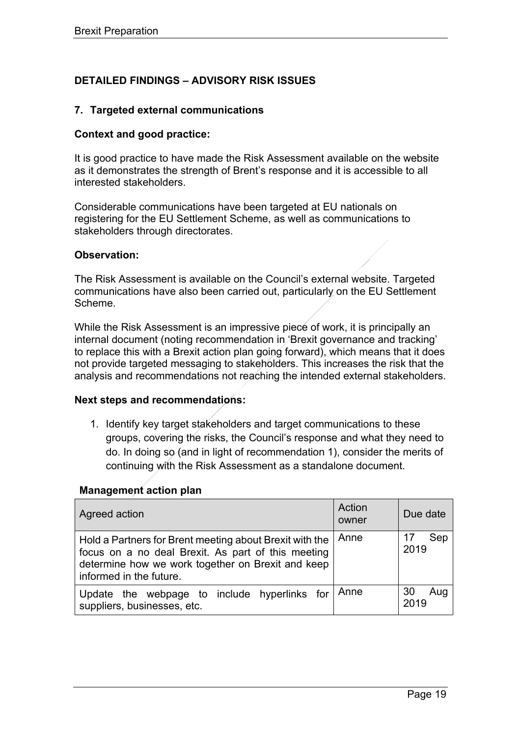## <span id="page-18-0"></span>**DETAILED FINDINGS – ADVISORY RISK ISSUES**

#### **7. Targeted external communications**

#### **Context and good practice:**

It is good practice to have made the Risk Assessment available on the website as it demonstrates the strength of Brent's response and it is accessible to all interested stakeholders.

Considerable communications have been targeted at EU nationals on registering for the EU Settlement Scheme, as well as communications to stakeholders through directorates.

#### **Observation:**

The Risk Assessment is available on the Council's external website. Targeted communications have also been carried out, particularly on the EU Settlement Scheme.

While the Risk Assessment is an impressive piece of work, it is principally an internal document (noting recommendation in 'Brexit governance and tracking' to replace this with a Brexit action plan going forward), which means that it does not provide targeted messaging to stakeholders. This increases the risk that the analysis and recommendations not reaching the intended external stakeholders.

#### **Next steps and recommendations:**

1. Identify key target stakeholders and target communications to these groups, covering the risks, the Council's response and what they need to do. In doing so (and in light of recommendation 1), consider the merits of continuing with the Risk Assessment as a standalone document.

| Agreed action                                                                                                                                                                                 | Action<br>owner | Due date          |
|-----------------------------------------------------------------------------------------------------------------------------------------------------------------------------------------------|-----------------|-------------------|
| Hold a Partners for Brent meeting about Brexit with the<br>focus on a no deal Brexit. As part of this meeting<br>determine how we work together on Brexit and keep<br>informed in the future. | Anne            | Sep<br>17<br>2019 |
| Update the webpage to include hyperlinks for<br>suppliers, businesses, etc.                                                                                                                   | Anne            | 30<br>Aug<br>2019 |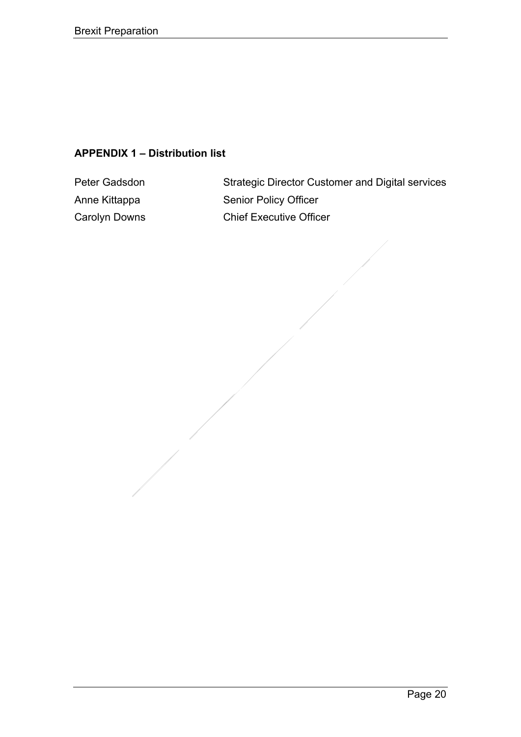## **APPENDIX 1 – Distribution list**

Peter Gadsdon Strategic Director Customer and Digital services Anne Kittappa Senior Policy Officer Carolyn Downs Chief Executive Officer